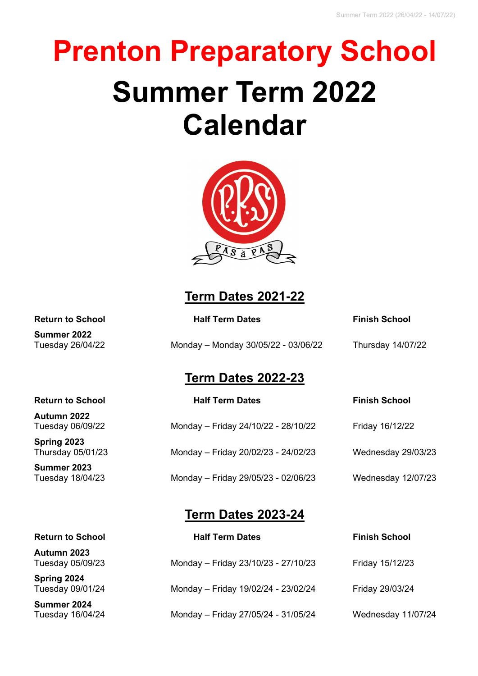# **Prenton Preparatory School Summer Term 2022 Calendar**



## **Term Dates 2021-22**

| <b>Return to School</b> | <b>Half Term Dates</b> | <b>Finish School</b> |
|-------------------------|------------------------|----------------------|
| Summer 2022             |                        |                      |

Tuesday 26/04/22 Monday – Monday 30/05/22 - 03/06/22 Thursday 14/07/22

### **Term Dates 2022-23**

| <b>Half Term Dates</b>              | <b>Finish School</b> |
|-------------------------------------|----------------------|
| Monday - Friday 24/10/22 - 28/10/22 | Friday 16/12/22      |
| Monday - Friday 20/02/23 - 24/02/23 | Wednesday 29/03/23   |
| Monday - Friday 29/05/23 - 02/06/23 | Wednesday 12/07/23   |
|                                     |                      |

#### **Term Dates 2023-24**

| <b>Return to School</b>         | <b>Half Term Dates</b>              | <b>Finish School</b> |
|---------------------------------|-------------------------------------|----------------------|
| Autumn 2023<br>Tuesday 05/09/23 | Monday - Friday 23/10/23 - 27/10/23 | Friday 15/12/23      |
| Spring 2024<br>Tuesday 09/01/24 | Monday - Friday 19/02/24 - 23/02/24 | Friday 29/03/24      |
| Summer 2024<br>Tuesday 16/04/24 | Monday - Friday 27/05/24 - 31/05/24 | Wednesday 11/07/24   |

**Summer 2022**

#### **Return to School**

**Autumn 2022** Tuesday 06/09/22

**Spring 2023** Thursday 05/01/23

**Summer 2023** Tuesday 18/04/23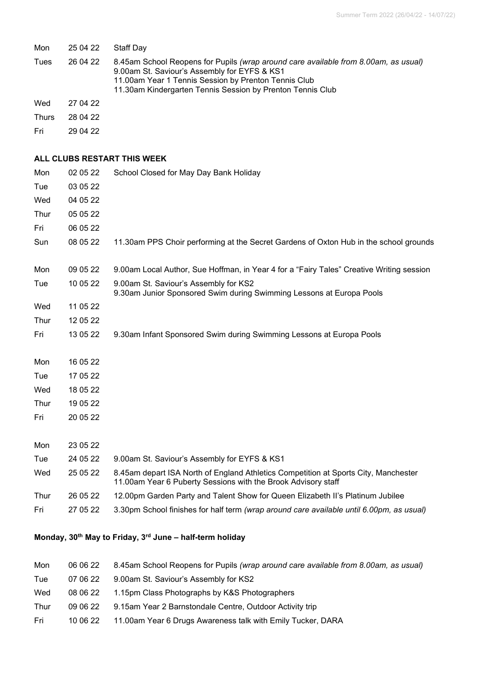| Mon          | 25 04 22 | Staff Day                                                                                                                                                                                                                                                 |
|--------------|----------|-----------------------------------------------------------------------------------------------------------------------------------------------------------------------------------------------------------------------------------------------------------|
| Tues         | 26 04 22 | 8.45am School Reopens for Pupils (wrap around care available from 8.00am, as usual)<br>9.00am St. Saviour's Assembly for EYFS & KS1<br>11.00am Year 1 Tennis Session by Prenton Tennis Club<br>11.30am Kindergarten Tennis Session by Prenton Tennis Club |
| Wed          | 27 04 22 |                                                                                                                                                                                                                                                           |
| <b>Thurs</b> | 28 04 22 |                                                                                                                                                                                                                                                           |
| Fri          | 29 04 22 |                                                                                                                                                                                                                                                           |
|              |          | ALL CLUBS RESTART THIS WEEK                                                                                                                                                                                                                               |
| Mon          | 02 05 22 | School Closed for May Day Bank Holiday                                                                                                                                                                                                                    |
| Tue          | 03 05 22 |                                                                                                                                                                                                                                                           |
| Wed          | 04 05 22 |                                                                                                                                                                                                                                                           |
| Thur         | 05 05 22 |                                                                                                                                                                                                                                                           |
| Fri          | 06 05 22 |                                                                                                                                                                                                                                                           |
| Sun          | 08 05 22 | 11.30am PPS Choir performing at the Secret Gardens of Oxton Hub in the school grounds                                                                                                                                                                     |
| Mon          | 09 05 22 | 9.00am Local Author, Sue Hoffman, in Year 4 for a "Fairy Tales" Creative Writing session                                                                                                                                                                  |
| Tue          | 10 05 22 | 9.00am St. Saviour's Assembly for KS2<br>9.30am Junior Sponsored Swim during Swimming Lessons at Europa Pools                                                                                                                                             |
| Wed          | 11 05 22 |                                                                                                                                                                                                                                                           |
| Thur         | 12 05 22 |                                                                                                                                                                                                                                                           |
| Fri          | 13 05 22 | 9.30am Infant Sponsored Swim during Swimming Lessons at Europa Pools                                                                                                                                                                                      |
| Mon          | 16 05 22 |                                                                                                                                                                                                                                                           |
| Tue          | 17 05 22 |                                                                                                                                                                                                                                                           |
| Wed          | 18 05 22 |                                                                                                                                                                                                                                                           |
| Thur         | 19 05 22 |                                                                                                                                                                                                                                                           |
| Fri          | 20 05 22 |                                                                                                                                                                                                                                                           |
| Mon          | 23 05 22 |                                                                                                                                                                                                                                                           |
| Tue          | 24 05 22 | 9.00am St. Saviour's Assembly for EYFS & KS1                                                                                                                                                                                                              |
| Wed          | 25 05 22 | 8.45am depart ISA North of England Athletics Competition at Sports City, Manchester<br>11.00am Year 6 Puberty Sessions with the Brook Advisory staff                                                                                                      |
| Thur         | 26 05 22 | 12.00pm Garden Party and Talent Show for Queen Elizabeth II's Platinum Jubilee                                                                                                                                                                            |
| Fri          | 27 05 22 | 3.30pm School finishes for half term (wrap around care available until 6.00pm, as usual)                                                                                                                                                                  |

#### **Monday, 30th May to Friday, 3rd June – half-term holiday**

| Mon  | 06 06 22 | 8.45am School Reopens for Pupils (wrap around care available from 8.00am, as usual) |
|------|----------|-------------------------------------------------------------------------------------|
| Tue  | 07 06 22 | 9.00am St. Saviour's Assembly for KS2                                               |
| Wed  | 08 06 22 | 1.15pm Class Photographs by K&S Photographers                                       |
| Thur | 09 06 22 | 9.15am Year 2 Barnstondale Centre, Outdoor Activity trip                            |
| Fri  | 10 06 22 | 11.00am Year 6 Drugs Awareness talk with Emily Tucker, DARA                         |